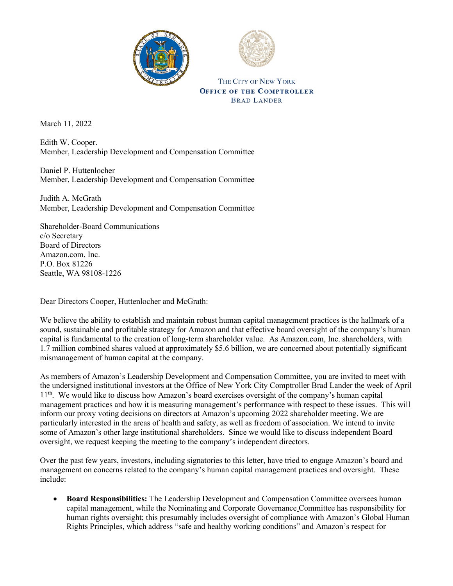



THE CITY OF NEW YORK **OFFICE OF THE COMPTROLLER BRAD LANDER** 

March 11, 2022

Edith W. Cooper. Member, Leadership Development and Compensation Committee

Daniel P. Huttenlocher Member, Leadership Development and Compensation Committee

Judith A. McGrath Member, Leadership Development and Compensation Committee

Shareholder-Board Communications c/o Secretary Board of Directors Amazon.com, Inc. P.O. Box 81226 Seattle, WA 98108-1226

Dear Directors Cooper, Huttenlocher and McGrath:

We believe the ability to establish and maintain robust human capital management practices is the hallmark of a sound, sustainable and profitable strategy for Amazon and that effective board oversight of the company's human capital is fundamental to the creation of long-term shareholder value. As Amazon.com, Inc. shareholders, with 1.7 million combined shares valued at approximately \$5.6 billion, we are concerned about potentially significant mismanagement of human capital at the company.

As members of Amazon's Leadership Development and Compensation Committee, you are invited to meet with the undersigned institutional investors at the Office of New York City Comptroller Brad Lander the week of April 11th. We would like to discuss how Amazon's board exercises oversight of the company's human capital management practices and how it is measuring management's performance with respect to these issues. This will inform our proxy voting decisions on directors at Amazon's upcoming 2022 shareholder meeting. We are particularly interested in the areas of health and safety, as well as freedom of association. We intend to invite some of Amazon's other large institutional shareholders. Since we would like to discuss independent Board oversight, we request keeping the meeting to the company's independent directors.

Over the past few years, investors, including signatories to this letter, have tried to engage Amazon's board and management on concerns related to the company's human capital management practices and oversight. These include:

• **Board Responsibilities:** The Leadership Development and Compensation Committee oversees human capital management, while the Nominating and Corporate Governance Committee has responsibility for human rights oversight; this presumably includes oversight of compliance with Amazon's Global Human Rights Principles, which address "safe and healthy working conditions" and Amazon's respect for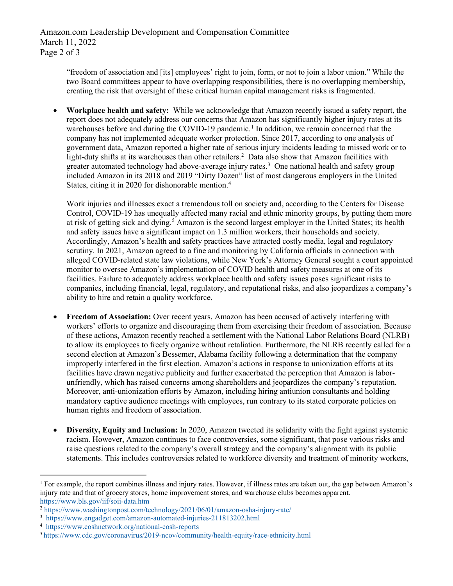Amazon.com Leadership Development and Compensation Committee March 11, 2022 Page 2 of 3

> "freedom of association and [its] employees' right to join, form, or not to join a labor union." While the two Board committees appear to have overlapping responsibilities, there is no overlapping membership, creating the risk that oversight of these critical human capital management risks is fragmented.

• **Workplace health and safety:** While we acknowledge that Amazon recently issued a safety report, the report does not adequately address our concerns that Amazon has significantly higher injury rates at its warehouses before and during the COVID-[1](#page-1-0)9 pandemic.<sup>1</sup> In addition, we remain concerned that the company has not implemented adequate worker protection. Since 2017, according to one analysis of government data, Amazon reported a higher rate of serious injury incidents leading to missed work or to light-duty shifts at its warehouses than other retailers.<sup>2</sup> Data also show that Amazon facilities with greater automated technology had above-average injury rates.<sup>[3](#page-1-2)</sup> One national health and safety group included Amazon in its 2018 and 2019 "Dirty Dozen" list of most dangerous employers in the United States, citing it in 2020 for dishonorable mention.<sup>[4](#page-1-3)</sup>

Work injuries and illnesses exact a tremendous toll on society and, according to the Centers for Disease Control, COVID-19 has unequally affected many racial and ethnic minority groups, by putting them more at risk of getting sick and dying.<sup>[5](#page-1-4)</sup> Amazon is the second largest employer in the United States; its health and safety issues have a significant impact on 1.3 million workers, their households and society. Accordingly, Amazon's health and safety practices have attracted costly media, legal and regulatory scrutiny. In 2021, Amazon agreed to a fine and monitoring by California officials in connection with alleged COVID-related state law violations, while New York's Attorney General sought a court appointed monitor to oversee Amazon's implementation of COVID health and safety measures at one of its facilities. Failure to adequately address workplace health and safety issues poses significant risks to companies, including financial, legal, regulatory, and reputational risks, and also jeopardizes a company's ability to hire and retain a quality workforce.

- **Freedom of Association:** Over recent years, Amazon has been accused of actively interfering with workers' efforts to organize and discouraging them from exercising their freedom of association. Because of these actions, Amazon recently reached a settlement with the National Labor Relations Board (NLRB) to allow its employees to freely organize without retaliation. Furthermore, the NLRB recently called for a second election at Amazon's Bessemer, Alabama facility following a determination that the company improperly interfered in the first election. Amazon's actions in response to unionization efforts at its facilities have drawn negative publicity and further exacerbated the perception that Amazon is laborunfriendly, which has raised concerns among shareholders and jeopardizes the company's reputation. Moreover, anti-unionization efforts by Amazon, including hiring antiunion consultants and holding mandatory captive audience meetings with employees, run contrary to its stated corporate policies on human rights and freedom of association.
- **Diversity, Equity and Inclusion:** In 2020, Amazon tweeted its solidarity with the fight against systemic racism. However, Amazon continues to face controversies, some significant, that pose various risks and raise questions related to the company's overall strategy and the company's alignment with its public statements. This includes controversies related to workforce diversity and treatment of minority workers,

<span id="page-1-0"></span><sup>&</sup>lt;sup>1</sup> For example, the report combines illness and injury rates. However, if illness rates are taken out, the gap between Amazon's injury rate and that of grocery stores, home improvement stores, and warehouse clubs becomes apparent. <https://www.bls.gov/iif/soii-data.htm>

<span id="page-1-1"></span><sup>2</sup> [https://www.washingtonpost.com/technology/2021/06/01/amazon-osha-injury-rate/](https://gcc02.safelinks.protection.outlook.com/?url=https%3A%2F%2Fwww.washingtonpost.com%2Ftechnology%2F2021%2F06%2F01%2Famazon-osha-injury-rate%2F&data=04%7C01%7Cjconovi%40comptroller.nyc.gov%7Cf801e34111a1496097e408d9f7212344%7C5dab1e21cf464df29dc0f1510adf88d9%7C0%7C0%7C637812543969569869%7CUnknown%7CTWFpbGZsb3d8eyJWIjoiMC4wLjAwMDAiLCJQIjoiV2luMzIiLCJBTiI6Ik1haWwiLCJXVCI6Mn0%3D%7C3000&sdata=MaM7PmBHPxRZSclaHktm1%2F9xK81UvKNtaB1uO07%2B0c4%3D&reserved=0)

<span id="page-1-2"></span><sup>3</sup> <https://www.engadget.com/amazon-automated-injuries-211813202.html>

<span id="page-1-3"></span><sup>4</sup> <https://www.coshnetwork.org/national-cosh-reports>

<span id="page-1-4"></span><sup>5</sup> https://www.cdc.gov/coronavirus/2019-ncov/community/health-equity/race-ethnicity.html